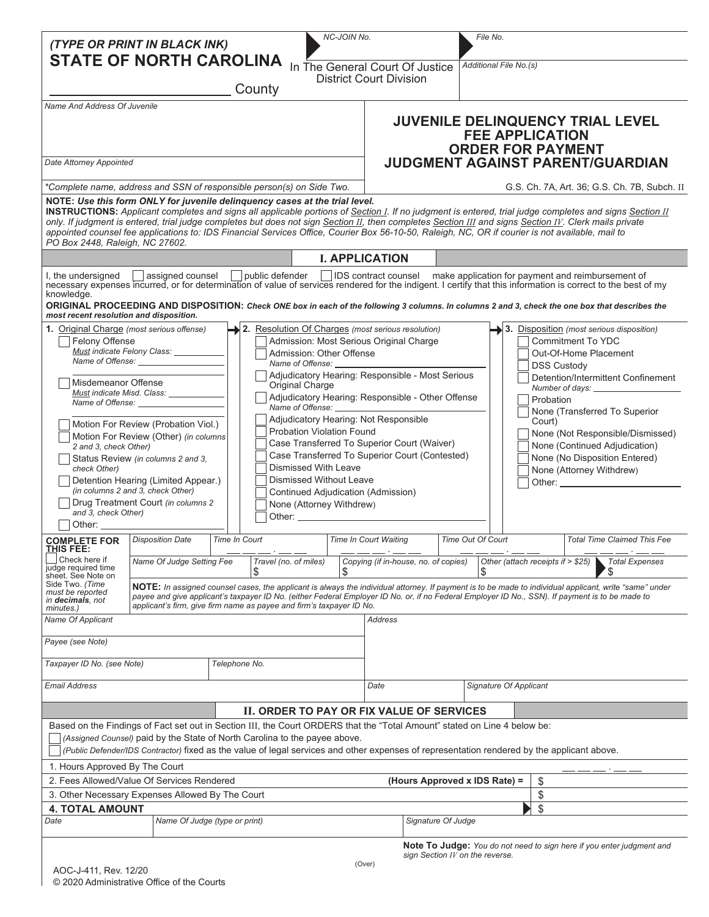| (TYPE OR PRINT IN BLACK INK)<br><b>STATE OF NORTH CAROLINA</b>                                                                                                                                                                                                                                                                                                                                                                                                                                                                                                                                                                                                                                                                                                       |                                                                                                                                                                                                                                                    |                                                                      |                             |      | NC-JOIN No.            | In The General Court Of Justice                                                                                                                                                                                                                                                                           |                                                                                                                                                                                                                                                                                                                                                                                                                              | File No.<br>Additional File No.(s)                                               |                                                    |                                                                                                                                                                                                                                                                                                                                                                                             |  |  |  |
|----------------------------------------------------------------------------------------------------------------------------------------------------------------------------------------------------------------------------------------------------------------------------------------------------------------------------------------------------------------------------------------------------------------------------------------------------------------------------------------------------------------------------------------------------------------------------------------------------------------------------------------------------------------------------------------------------------------------------------------------------------------------|----------------------------------------------------------------------------------------------------------------------------------------------------------------------------------------------------------------------------------------------------|----------------------------------------------------------------------|-----------------------------|------|------------------------|-----------------------------------------------------------------------------------------------------------------------------------------------------------------------------------------------------------------------------------------------------------------------------------------------------------|------------------------------------------------------------------------------------------------------------------------------------------------------------------------------------------------------------------------------------------------------------------------------------------------------------------------------------------------------------------------------------------------------------------------------|----------------------------------------------------------------------------------|----------------------------------------------------|---------------------------------------------------------------------------------------------------------------------------------------------------------------------------------------------------------------------------------------------------------------------------------------------------------------------------------------------------------------------------------------------|--|--|--|
|                                                                                                                                                                                                                                                                                                                                                                                                                                                                                                                                                                                                                                                                                                                                                                      |                                                                                                                                                                                                                                                    |                                                                      | County                      |      |                        | <b>District Court Division</b>                                                                                                                                                                                                                                                                            |                                                                                                                                                                                                                                                                                                                                                                                                                              |                                                                                  |                                                    |                                                                                                                                                                                                                                                                                                                                                                                             |  |  |  |
| Name And Address Of Juvenile                                                                                                                                                                                                                                                                                                                                                                                                                                                                                                                                                                                                                                                                                                                                         |                                                                                                                                                                                                                                                    |                                                                      |                             |      |                        |                                                                                                                                                                                                                                                                                                           |                                                                                                                                                                                                                                                                                                                                                                                                                              |                                                                                  | <b>FEE APPLICATION</b><br><b>ORDER FOR PAYMENT</b> | JUVENILE DELINQUENCY TRIAL LEVEL                                                                                                                                                                                                                                                                                                                                                            |  |  |  |
| Date Attorney Appointed                                                                                                                                                                                                                                                                                                                                                                                                                                                                                                                                                                                                                                                                                                                                              |                                                                                                                                                                                                                                                    | JUDGMENT AGAINST PARENT/GUARDIAN                                     |                             |      |                        |                                                                                                                                                                                                                                                                                                           |                                                                                                                                                                                                                                                                                                                                                                                                                              |                                                                                  |                                                    |                                                                                                                                                                                                                                                                                                                                                                                             |  |  |  |
| *Complete name, address and SSN of responsible person(s) on Side Two.                                                                                                                                                                                                                                                                                                                                                                                                                                                                                                                                                                                                                                                                                                |                                                                                                                                                                                                                                                    |                                                                      |                             |      |                        | G.S. Ch. 7A, Art. 36, G.S. Ch. 7B, Subch. II                                                                                                                                                                                                                                                              |                                                                                                                                                                                                                                                                                                                                                                                                                              |                                                                                  |                                                    |                                                                                                                                                                                                                                                                                                                                                                                             |  |  |  |
| NOTE: Use this form ONLY for juvenile delinquency cases at the trial level.<br>appointed counsel fee applications to: IDS Financial Services Office, Courier Box 56-10-50, Raleigh, NC, OR if courier is not available, mail to<br>PO Box 2448, Raleigh, NC 27602.                                                                                                                                                                                                                                                                                                                                                                                                                                                                                                   |                                                                                                                                                                                                                                                    |                                                                      |                             |      |                        |                                                                                                                                                                                                                                                                                                           |                                                                                                                                                                                                                                                                                                                                                                                                                              |                                                                                  |                                                    | INSTRUCTIONS: Applicant completes and signs all applicable portions of Section 1. If no judgment is entered, trial judge completes and signs Section II<br>only. If judgment is entered, trial judge completes but does not sign Section II, then completes Section III and signs Section IV. Clerk mails private                                                                           |  |  |  |
|                                                                                                                                                                                                                                                                                                                                                                                                                                                                                                                                                                                                                                                                                                                                                                      |                                                                                                                                                                                                                                                    |                                                                      |                             |      |                        | <b>I. APPLICATION</b>                                                                                                                                                                                                                                                                                     |                                                                                                                                                                                                                                                                                                                                                                                                                              |                                                                                  |                                                    |                                                                                                                                                                                                                                                                                                                                                                                             |  |  |  |
| I, the undersigned<br>knowledge.<br>most recent resolution and disposition.                                                                                                                                                                                                                                                                                                                                                                                                                                                                                                                                                                                                                                                                                          | assigned counsel                                                                                                                                                                                                                                   |                                                                      | public defender             |      |                        |                                                                                                                                                                                                                                                                                                           |                                                                                                                                                                                                                                                                                                                                                                                                                              |                                                                                  |                                                    | IDS contract counsel make application for payment and reimbursement of<br>necessary expenses incurred, or for determination of value of services rendered for the indigent. I certify that this information is correct to the best of my<br>ORIGINAL PROCEEDING AND DISPOSITION: Check ONE box in each of the following 3 columns. In columns 2 and 3, check the one box that describes the |  |  |  |
|                                                                                                                                                                                                                                                                                                                                                                                                                                                                                                                                                                                                                                                                                                                                                                      | 2. Resolution Of Charges (most serious resolution)<br>1. Original Charge (most serious offense)<br><b>Felony Offense</b><br>Admission: Most Serious Original Charge<br>Must indicate Felony Class:<br>Admission: Other Offense<br>Name of Offense: |                                                                      |                             |      |                        |                                                                                                                                                                                                                                                                                                           |                                                                                                                                                                                                                                                                                                                                                                                                                              |                                                                                  |                                                    | $\rightarrow$ 3. Disposition (most serious disposition)<br>Commitment To YDC<br>Out-Of-Home Placement<br><b>DSS Custody</b>                                                                                                                                                                                                                                                                 |  |  |  |
| Adjudicatory Hearing: Responsible - Most Serious<br>Misdemeanor Offense<br>Original Charge<br>Must indicate Misd. Class: ________<br>Adjudicatory Hearing: Responsible - Other Offense<br>Name of Offense:<br>Adjudicatory Hearing: Not Responsible                                                                                                                                                                                                                                                                                                                                                                                                                                                                                                                  |                                                                                                                                                                                                                                                    |                                                                      |                             |      |                        |                                                                                                                                                                                                                                                                                                           |                                                                                                                                                                                                                                                                                                                                                                                                                              | Detention/Intermittent Confinement<br>Probation<br>None (Transferred To Superior |                                                    |                                                                                                                                                                                                                                                                                                                                                                                             |  |  |  |
| Motion For Review (Probation Viol.)<br><b>Probation Violation Found</b><br>Motion For Review (Other) (in columns<br>Case Transferred To Superior Court (Waiver)<br>2 and 3, check Other)<br>Status Review (in columns 2 and 3,<br>Dismissed With Leave<br>check Other)<br>Dismissed Without Leave<br>Detention Hearing (Limited Appear.)<br>(in columns 2 and 3, check Other)<br>Continued Adjudication (Admission)<br>Drug Treatment Court (in columns 2<br>None (Attorney Withdrew)<br>and 3, check Other)<br>Other: the contract of the contract of the contract of the contract of the contract of the contract of the contract of the contract of the contract of the contract of the contract of the contract of the contract of the con<br>Other: ___________ |                                                                                                                                                                                                                                                    |                                                                      |                             |      |                        |                                                                                                                                                                                                                                                                                                           | Court)<br>None (Not Responsible/Dismissed)<br>None (Continued Adjudication)<br>Case Transferred To Superior Court (Contested)<br>None (No Disposition Entered)<br>None (Attorney Withdrew)<br>Other: the contract of the contract of the contract of the contract of the contract of the contract of the contract of the contract of the contract of the contract of the contract of the contract of the contract of the con |                                                                                  |                                                    |                                                                                                                                                                                                                                                                                                                                                                                             |  |  |  |
| <b>COMPLETE FOR</b> <i>Disposition Date</i><br>THIS FEE:                                                                                                                                                                                                                                                                                                                                                                                                                                                                                                                                                                                                                                                                                                             |                                                                                                                                                                                                                                                    | Time In Court                                                        |                             |      |                        | Time In Court Waiting                                                                                                                                                                                                                                                                                     |                                                                                                                                                                                                                                                                                                                                                                                                                              | <b>Time Out Of Court</b>                                                         |                                                    | <b>Total Time Claimed This Fee</b>                                                                                                                                                                                                                                                                                                                                                          |  |  |  |
| Check here if<br>judge required time                                                                                                                                                                                                                                                                                                                                                                                                                                                                                                                                                                                                                                                                                                                                 | Name Of Judge Setting Fee                                                                                                                                                                                                                          |                                                                      | Travel (no. of miles)<br>\$ | S    |                        | Copying (if in-house, no. of copies)                                                                                                                                                                                                                                                                      |                                                                                                                                                                                                                                                                                                                                                                                                                              | \$                                                                               | Other (attach receipts if > \$25)                  | <b>Total Expenses</b>                                                                                                                                                                                                                                                                                                                                                                       |  |  |  |
| sheet. See Note on<br>Side Two. (Time<br>must be reported<br>in decimals, not<br>minutes.)                                                                                                                                                                                                                                                                                                                                                                                                                                                                                                                                                                                                                                                                           |                                                                                                                                                                                                                                                    | applicant's firm, give firm name as payee and firm's taxpayer ID No. |                             |      |                        | NOTE: In assigned counsel cases, the applicant is always the individual attorney. If payment is to be made to individual applicant, write "same" under<br>payee and give applicant's taxpayer ID No. (either Federal Employer ID No. or, if no Federal Employer ID No., SSN). If payment is to be made to |                                                                                                                                                                                                                                                                                                                                                                                                                              |                                                                                  |                                                    |                                                                                                                                                                                                                                                                                                                                                                                             |  |  |  |
| Name Of Applicant                                                                                                                                                                                                                                                                                                                                                                                                                                                                                                                                                                                                                                                                                                                                                    |                                                                                                                                                                                                                                                    |                                                                      |                             |      |                        | <b>Address</b>                                                                                                                                                                                                                                                                                            |                                                                                                                                                                                                                                                                                                                                                                                                                              |                                                                                  |                                                    |                                                                                                                                                                                                                                                                                                                                                                                             |  |  |  |
| Payee (see Note)                                                                                                                                                                                                                                                                                                                                                                                                                                                                                                                                                                                                                                                                                                                                                     |                                                                                                                                                                                                                                                    |                                                                      |                             |      |                        |                                                                                                                                                                                                                                                                                                           |                                                                                                                                                                                                                                                                                                                                                                                                                              |                                                                                  |                                                    |                                                                                                                                                                                                                                                                                                                                                                                             |  |  |  |
| Taxpayer ID No. (see Note)                                                                                                                                                                                                                                                                                                                                                                                                                                                                                                                                                                                                                                                                                                                                           |                                                                                                                                                                                                                                                    |                                                                      | Telephone No.               |      |                        |                                                                                                                                                                                                                                                                                                           |                                                                                                                                                                                                                                                                                                                                                                                                                              |                                                                                  |                                                    |                                                                                                                                                                                                                                                                                                                                                                                             |  |  |  |
| <b>Email Address</b>                                                                                                                                                                                                                                                                                                                                                                                                                                                                                                                                                                                                                                                                                                                                                 |                                                                                                                                                                                                                                                    |                                                                      |                             | Date | Signature Of Applicant |                                                                                                                                                                                                                                                                                                           |                                                                                                                                                                                                                                                                                                                                                                                                                              |                                                                                  |                                                    |                                                                                                                                                                                                                                                                                                                                                                                             |  |  |  |
|                                                                                                                                                                                                                                                                                                                                                                                                                                                                                                                                                                                                                                                                                                                                                                      |                                                                                                                                                                                                                                                    |                                                                      |                             |      |                        | II. ORDER TO PAY OR FIX VALUE OF SERVICES                                                                                                                                                                                                                                                                 |                                                                                                                                                                                                                                                                                                                                                                                                                              |                                                                                  |                                                    |                                                                                                                                                                                                                                                                                                                                                                                             |  |  |  |
| Based on the Findings of Fact set out in Section III, the Court ORDERS that the "Total Amount" stated on Line 4 below be:                                                                                                                                                                                                                                                                                                                                                                                                                                                                                                                                                                                                                                            | (Assigned Counsel) paid by the State of North Carolina to the payee above.<br>(Public Defender/IDS Contractor) fixed as the value of legal services and other expenses of representation rendered by the applicant above.                          |                                                                      |                             |      |                        |                                                                                                                                                                                                                                                                                                           |                                                                                                                                                                                                                                                                                                                                                                                                                              |                                                                                  |                                                    |                                                                                                                                                                                                                                                                                                                                                                                             |  |  |  |
| 1. Hours Approved By The Court<br>2. Fees Allowed/Value Of Services Rendered                                                                                                                                                                                                                                                                                                                                                                                                                                                                                                                                                                                                                                                                                         |                                                                                                                                                                                                                                                    |                                                                      |                             |      |                        |                                                                                                                                                                                                                                                                                                           |                                                                                                                                                                                                                                                                                                                                                                                                                              |                                                                                  |                                                    |                                                                                                                                                                                                                                                                                                                                                                                             |  |  |  |
| 3. Other Necessary Expenses Allowed By The Court                                                                                                                                                                                                                                                                                                                                                                                                                                                                                                                                                                                                                                                                                                                     |                                                                                                                                                                                                                                                    | (Hours Approved x IDS Rate) =<br>\$<br>\$                            |                             |      |                        |                                                                                                                                                                                                                                                                                                           |                                                                                                                                                                                                                                                                                                                                                                                                                              |                                                                                  |                                                    |                                                                                                                                                                                                                                                                                                                                                                                             |  |  |  |
| <b>4. TOTAL AMOUNT</b>                                                                                                                                                                                                                                                                                                                                                                                                                                                                                                                                                                                                                                                                                                                                               |                                                                                                                                                                                                                                                    |                                                                      |                             |      |                        |                                                                                                                                                                                                                                                                                                           |                                                                                                                                                                                                                                                                                                                                                                                                                              |                                                                                  | \$                                                 |                                                                                                                                                                                                                                                                                                                                                                                             |  |  |  |
| Date<br>Name Of Judge (type or print)                                                                                                                                                                                                                                                                                                                                                                                                                                                                                                                                                                                                                                                                                                                                |                                                                                                                                                                                                                                                    |                                                                      |                             |      | Signature Of Judge     |                                                                                                                                                                                                                                                                                                           |                                                                                                                                                                                                                                                                                                                                                                                                                              |                                                                                  |                                                    |                                                                                                                                                                                                                                                                                                                                                                                             |  |  |  |
|                                                                                                                                                                                                                                                                                                                                                                                                                                                                                                                                                                                                                                                                                                                                                                      |                                                                                                                                                                                                                                                    |                                                                      |                             |      |                        |                                                                                                                                                                                                                                                                                                           |                                                                                                                                                                                                                                                                                                                                                                                                                              | sign Section IV on the reverse.                                                  |                                                    | <b>Note To Judge:</b> You do not need to sign here if you enter judgment and                                                                                                                                                                                                                                                                                                                |  |  |  |